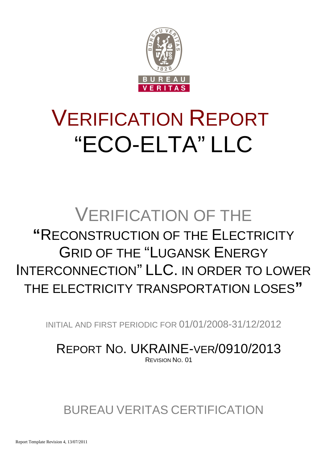

# VERIFICATION REPORT "ECO-ELTA" LLC

## VERIFICATION OF THE **"**RECONSTRUCTION OF THE ELECTRICITY GRID OF THE "LUGANSK ENERGY INTERCONNECTION" LLC. IN ORDER TO LOWER THE ELECTRICITY TRANSPORTATION LOSES**"**

INITIAL AND FIRST PERIODIC FOR 01/01/2008-31/12/2012

REPORT NO. UKRAINE-VER/0910/2013 REVISION NO. 01

BUREAU VERITAS CERTIFICATION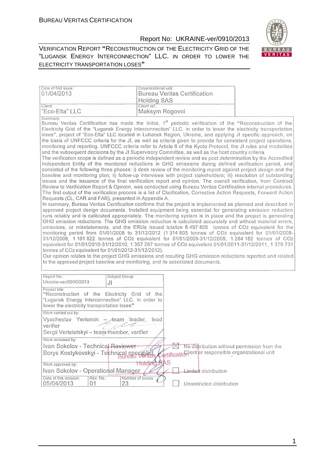Date of first issue:

Report No: UKRAINE-ver/0910/2013

٦



VERIFICATION REPORT **"**RECONSTRUCTION OF THE ELECTRICITY GRID OF THE "LUGANSK ENERGY INTERCONNECTION" LLC. IN ORDER TO LOWER THE ELECTRICITY TRANSPORTATION LOSES**"**

| Organizational unit:

| 01/04/2013                                                                                                                                                                                                 | <b>Holding SAS</b>             | <b>Bureau Veritas Certification</b>                                                                                                                                                                                                                                                                                                                                                                                                                                                                                                                                                                                                                                                                                                                                                                                                                                                                                                                                                                                                                                                                                                                                                                                                                                                                                                                                                                                                                                                                                                                                                                                                                                                                                                                                                                                                                                                                                                                                                                                                                                                                                                                                                                                                                                                                                                                                                                                                                                                                                                             |  |
|------------------------------------------------------------------------------------------------------------------------------------------------------------------------------------------------------------|--------------------------------|-------------------------------------------------------------------------------------------------------------------------------------------------------------------------------------------------------------------------------------------------------------------------------------------------------------------------------------------------------------------------------------------------------------------------------------------------------------------------------------------------------------------------------------------------------------------------------------------------------------------------------------------------------------------------------------------------------------------------------------------------------------------------------------------------------------------------------------------------------------------------------------------------------------------------------------------------------------------------------------------------------------------------------------------------------------------------------------------------------------------------------------------------------------------------------------------------------------------------------------------------------------------------------------------------------------------------------------------------------------------------------------------------------------------------------------------------------------------------------------------------------------------------------------------------------------------------------------------------------------------------------------------------------------------------------------------------------------------------------------------------------------------------------------------------------------------------------------------------------------------------------------------------------------------------------------------------------------------------------------------------------------------------------------------------------------------------------------------------------------------------------------------------------------------------------------------------------------------------------------------------------------------------------------------------------------------------------------------------------------------------------------------------------------------------------------------------------------------------------------------------------------------------------------------------|--|
| Client:<br>"Eco-Elta" LLC                                                                                                                                                                                  | Client ref.:<br>Maksym Rogovoi |                                                                                                                                                                                                                                                                                                                                                                                                                                                                                                                                                                                                                                                                                                                                                                                                                                                                                                                                                                                                                                                                                                                                                                                                                                                                                                                                                                                                                                                                                                                                                                                                                                                                                                                                                                                                                                                                                                                                                                                                                                                                                                                                                                                                                                                                                                                                                                                                                                                                                                                                                 |  |
| Summary:<br>Requests (CL, CAR and FAR), presented in Appendix A.<br>tonnes of CO2 equivalent for 01/01/2012-31/12/2012).<br>to the approved project baseline and monitoring, and its associated documents. |                                | Bureau Veritas Certification has made the initial, 1 <sup>st</sup> periodic verification of the "Reconstruction of the<br>Electricity Grid of the "Lugansk Energy Interconnection" LLC. in order to lower the electricity transportation<br>loses", project of "Eco-Elta" LLC located in Luhansk Region, Ukraine, and applying JI specific approach, on<br>the basis of UNFCCC criteria for the JI, as well as criteria given to provide for consistent project operations,<br>monitoring and reporting. UNFCCC criteria refer to Article 6 of the Kyoto Protocol, the JI rules and modalities<br>and the subsequent decisions by the JI Supervisory Committee, as well as the host country criteria.<br>The verification scope is defined as a periodic independent review and ex post determination by the Accredited<br>Independent Entity of the monitored reductions in GHG emissions during defined verification period, and<br>consisted of the following three phases: i) desk review of the monitoring report against project design and the<br>baseline and monitoring plan; ii) follow-up interviews with project stakeholders; iii) resolution of outstanding<br>issues and the issuance of the final verification report and opinion. The overall verification, from Contract<br>Review to Verification Report & Opinion, was conducted using Bureau Veritas Certification internal procedures.<br>The first output of the verification process is a list of Clarification, Corrective Action Requests, Forward Action<br>In summary, Bureau Veritas Certification confirms that the project is implemented as planned and described in<br>approved project design documents. Installed equipment being essential for generating emission reduction<br>runs reliably and is calibrated appropriately. The monitoring system is in place and the project is generating<br>GHG emission reductions. The GHG emission reduction is calculated accurately and without material errors,<br>omissions, or misstatements, and the ERUs issued totalize 6 497 805 tonnes of CO2 equivalent for the<br>monitoring period from 01/01/2008 to 31/12/2012 (1 314 803 tonnes of CO2 equivalent for 01/01/2008-<br>31/12/2008, 1 161 822 tonnes of CO2 equivalent for 01/01/2009-31/12/2009, 1 284 182 tonnes of CO2<br>equivalent for 01/01/2010-31/12/2010, 1 357 267 tonnes of CO2 equivalent 01/01/2011-31/12/2011, 1 379 731<br>Our opinion relates to the project GHG emissions and resulting GHG emission reductions reported and related |  |
| Report No.:<br>Ukraine-ver/0910/2013                                                                                                                                                                       | Subject Group:<br>JI           |                                                                                                                                                                                                                                                                                                                                                                                                                                                                                                                                                                                                                                                                                                                                                                                                                                                                                                                                                                                                                                                                                                                                                                                                                                                                                                                                                                                                                                                                                                                                                                                                                                                                                                                                                                                                                                                                                                                                                                                                                                                                                                                                                                                                                                                                                                                                                                                                                                                                                                                                                 |  |
| Project title:<br>"Reconstruction of the Electricity Grid of the<br>"Lugansk Energy Interconnection" LLC. in order to<br>lower the electricity transportation loses"                                       |                                |                                                                                                                                                                                                                                                                                                                                                                                                                                                                                                                                                                                                                                                                                                                                                                                                                                                                                                                                                                                                                                                                                                                                                                                                                                                                                                                                                                                                                                                                                                                                                                                                                                                                                                                                                                                                                                                                                                                                                                                                                                                                                                                                                                                                                                                                                                                                                                                                                                                                                                                                                 |  |
| Work carried out by:                                                                                                                                                                                       |                                |                                                                                                                                                                                                                                                                                                                                                                                                                                                                                                                                                                                                                                                                                                                                                                                                                                                                                                                                                                                                                                                                                                                                                                                                                                                                                                                                                                                                                                                                                                                                                                                                                                                                                                                                                                                                                                                                                                                                                                                                                                                                                                                                                                                                                                                                                                                                                                                                                                                                                                                                                 |  |
| Vyacheslav Yeriomin<br>verifier<br>Sergii Verteletskyi - team member, verifier                                                                                                                             | leader,<br>lead<br>$-$ team    |                                                                                                                                                                                                                                                                                                                                                                                                                                                                                                                                                                                                                                                                                                                                                                                                                                                                                                                                                                                                                                                                                                                                                                                                                                                                                                                                                                                                                                                                                                                                                                                                                                                                                                                                                                                                                                                                                                                                                                                                                                                                                                                                                                                                                                                                                                                                                                                                                                                                                                                                                 |  |
| Work reviewed by:                                                                                                                                                                                          |                                |                                                                                                                                                                                                                                                                                                                                                                                                                                                                                                                                                                                                                                                                                                                                                                                                                                                                                                                                                                                                                                                                                                                                                                                                                                                                                                                                                                                                                                                                                                                                                                                                                                                                                                                                                                                                                                                                                                                                                                                                                                                                                                                                                                                                                                                                                                                                                                                                                                                                                                                                                 |  |
| Ivan Sokolov - Technical Reviewer                                                                                                                                                                          |                                | $\times$<br>No distribution without permission from the                                                                                                                                                                                                                                                                                                                                                                                                                                                                                                                                                                                                                                                                                                                                                                                                                                                                                                                                                                                                                                                                                                                                                                                                                                                                                                                                                                                                                                                                                                                                                                                                                                                                                                                                                                                                                                                                                                                                                                                                                                                                                                                                                                                                                                                                                                                                                                                                                                                                                         |  |
| Borys Kostykovskyi - Technical speciálist                                                                                                                                                                  |                                | Certification or responsible organizational unit                                                                                                                                                                                                                                                                                                                                                                                                                                                                                                                                                                                                                                                                                                                                                                                                                                                                                                                                                                                                                                                                                                                                                                                                                                                                                                                                                                                                                                                                                                                                                                                                                                                                                                                                                                                                                                                                                                                                                                                                                                                                                                                                                                                                                                                                                                                                                                                                                                                                                                |  |
| Work approved by:                                                                                                                                                                                          | Holding SAS                    |                                                                                                                                                                                                                                                                                                                                                                                                                                                                                                                                                                                                                                                                                                                                                                                                                                                                                                                                                                                                                                                                                                                                                                                                                                                                                                                                                                                                                                                                                                                                                                                                                                                                                                                                                                                                                                                                                                                                                                                                                                                                                                                                                                                                                                                                                                                                                                                                                                                                                                                                                 |  |
| Ivan Sokolov - Operational Manager                                                                                                                                                                         |                                | <b>Limited</b> distribution                                                                                                                                                                                                                                                                                                                                                                                                                                                                                                                                                                                                                                                                                                                                                                                                                                                                                                                                                                                                                                                                                                                                                                                                                                                                                                                                                                                                                                                                                                                                                                                                                                                                                                                                                                                                                                                                                                                                                                                                                                                                                                                                                                                                                                                                                                                                                                                                                                                                                                                     |  |
| Date of this revision:<br>Rev. No.:<br>05/04/2013<br>01                                                                                                                                                    | Number of pages:<br>23         | Unrestricted distribution                                                                                                                                                                                                                                                                                                                                                                                                                                                                                                                                                                                                                                                                                                                                                                                                                                                                                                                                                                                                                                                                                                                                                                                                                                                                                                                                                                                                                                                                                                                                                                                                                                                                                                                                                                                                                                                                                                                                                                                                                                                                                                                                                                                                                                                                                                                                                                                                                                                                                                                       |  |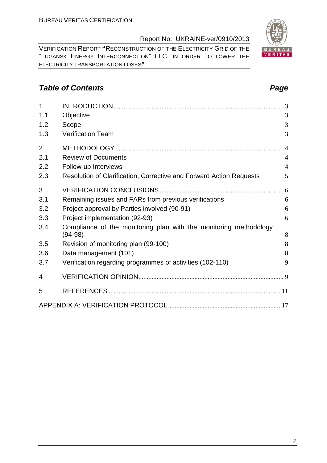VERIFICATION REPORT **"**RECONSTRUCTION OF THE ELECTRICITY GRID OF THE "LUGANSK ENERGY INTERCONNECTION" LLC. IN ORDER TO LOWER THE ELECTRICITY TRANSPORTATION LOSES**"**

## **Table of Contents Page 2014**

| 1              |                                                                     |                |
|----------------|---------------------------------------------------------------------|----------------|
| 1.1            | Objective                                                           | 3              |
| 1.2            | Scope                                                               | 3              |
| 1.3            | <b>Verification Team</b>                                            | 3              |
| $\overline{2}$ |                                                                     | $\overline{4}$ |
| 2.1            | <b>Review of Documents</b>                                          | $\overline{4}$ |
| 2.2            | Follow-up Interviews                                                | $\overline{4}$ |
| 2.3            | Resolution of Clarification, Corrective and Forward Action Requests | 5              |
| 3              |                                                                     |                |
| 3.1            | Remaining issues and FARs from previous verifications               | 6              |
| 3.2            | Project approval by Parties involved (90-91)                        | 6              |
| 3.3            | Project implementation (92-93)                                      | 6              |
| 3.4            | Compliance of the monitoring plan with the monitoring methodology   |                |
|                | $(94-98)$                                                           | 8              |
| 3.5            | Revision of monitoring plan (99-100)                                | 8              |
| 3.6            | Data management (101)                                               | 8              |
| 3.7            | Verification regarding programmes of activities (102-110)           | 9              |
| 4              |                                                                     |                |
| 5              |                                                                     |                |
|                |                                                                     |                |



2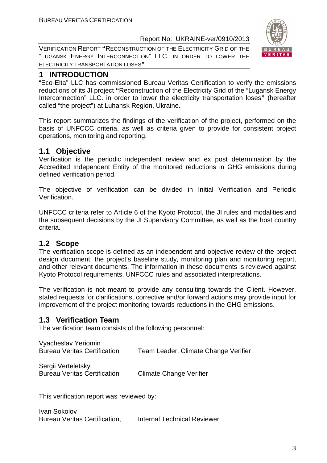VERIFICATION REPORT **"**RECONSTRUCTION OF THE ELECTRICITY GRID OF THE "LUGANSK ENERGY INTERCONNECTION" LLC. IN ORDER TO LOWER THE ELECTRICITY TRANSPORTATION LOSES**"**



"Eco-Elta" LLC has commissioned Bureau Veritas Certification to verify the emissions reductions of its JI project **"**Reconstruction of the Electricity Grid of the "Lugansk Energy Interconnection" LLC. in order to lower the electricity transportation loses**"** (hereafter called "the project") at Luhansk Region, Ukraine.

This report summarizes the findings of the verification of the project, performed on the basis of UNFCCC criteria, as well as criteria given to provide for consistent project operations, monitoring and reporting.

## **1.1 Objective**

Verification is the periodic independent review and ex post determination by the Accredited Independent Entity of the monitored reductions in GHG emissions during defined verification period.

The objective of verification can be divided in Initial Verification and Periodic Verification.

UNFCCC criteria refer to Article 6 of the Kyoto Protocol, the JI rules and modalities and the subsequent decisions by the JI Supervisory Committee, as well as the host country criteria.

## **1.2 Scope**

The verification scope is defined as an independent and objective review of the project design document, the project's baseline study, monitoring plan and monitoring report, and other relevant documents. The information in these documents is reviewed against Kyoto Protocol requirements, UNFCCC rules and associated interpretations.

The verification is not meant to provide any consulting towards the Client. However, stated requests for clarifications, corrective and/or forward actions may provide input for improvement of the project monitoring towards reductions in the GHG emissions.

## **1.3 Verification Team**

The verification team consists of the following personnel:

Vyacheslav Yeriomin Bureau Veritas Certification Team Leader, Climate Change Verifier

Sergii Verteletskyi Bureau Veritas Certification Climate Change Verifier

This verification report was reviewed by:

Ivan Sokolov Bureau Veritas Certification, Internal Technical Reviewer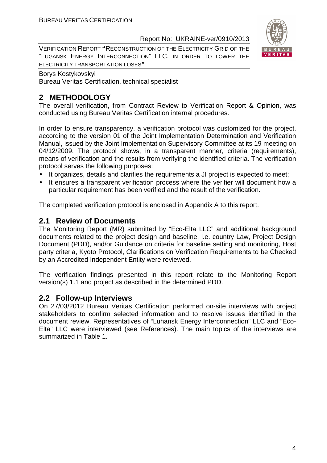VERIFICATION REPORT **"**RECONSTRUCTION OF THE ELECTRICITY GRID OF THE "LUGANSK ENERGY INTERCONNECTION" LLC. IN ORDER TO LOWER THE ELECTRICITY TRANSPORTATION LOSES**"**



#### Borys Kostykovskyi Bureau Veritas Certification, technical specialist

## **2 METHODOLOGY**

The overall verification, from Contract Review to Verification Report & Opinion, was conducted using Bureau Veritas Certification internal procedures.

In order to ensure transparency, a verification protocol was customized for the project, according to the version 01 of the Joint Implementation Determination and Verification Manual, issued by the Joint Implementation Supervisory Committee at its 19 meeting on 04/12/2009. The protocol shows, in a transparent manner, criteria (requirements), means of verification and the results from verifying the identified criteria. The verification protocol serves the following purposes:

- It organizes, details and clarifies the requirements a JI project is expected to meet;
- It ensures a transparent verification process where the verifier will document how a particular requirement has been verified and the result of the verification.

The completed verification protocol is enclosed in Appendix A to this report.

## **2.1 Review of Documents**

The Monitoring Report (MR) submitted by "Eco-Elta LLC" and additional background documents related to the project design and baseline, i.e. country Law, Project Design Document (PDD), and/or Guidance on criteria for baseline setting and monitoring, Host party criteria, Kyoto Protocol, Clarifications on Verification Requirements to be Checked by an Accredited Independent Entity were reviewed.

The verification findings presented in this report relate to the Monitoring Report version(s) 1.1 and project as described in the determined PDD.

## **2.2 Follow-up Interviews**

On 27/03/2012 Bureau Veritas Certification performed on-site interviews with project stakeholders to confirm selected information and to resolve issues identified in the document review. Representatives of "Luhansk Energy Interconnection" LLC and "Eco-Elta" LLC were interviewed (see References). The main topics of the interviews are summarized in Table 1.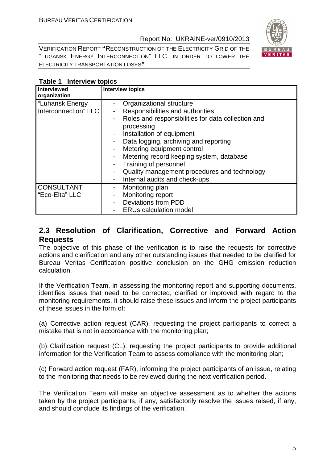

VERIFICATION REPORT **"**RECONSTRUCTION OF THE ELECTRICITY GRID OF THE "LUGANSK ENERGY INTERCONNECTION" LLC. IN ORDER TO LOWER THE ELECTRICITY TRANSPORTATION LOSES**"**

| <b>Interviewed</b><br>organization      | <b>Interview topics</b>                                                                                                                                                                                                                                                                                                                                                                                                                                                                              |
|-----------------------------------------|------------------------------------------------------------------------------------------------------------------------------------------------------------------------------------------------------------------------------------------------------------------------------------------------------------------------------------------------------------------------------------------------------------------------------------------------------------------------------------------------------|
| "Luhansk Energy<br>Interconnection" LLC | Organizational structure<br>Responsibilities and authorities<br>-<br>Roles and responsibilities for data collection and<br>$\qquad \qquad \blacksquare$<br>processing<br>Installation of equipment<br>$\overline{\phantom{a}}$<br>Data logging, archiving and reporting<br>۰<br>Metering equipment control<br>Metering record keeping system, database<br>$\blacksquare$<br>Training of personnel<br>Quality management procedures and technology<br>Internal audits and check-ups<br>$\blacksquare$ |
| <b>CONSULTANT</b><br>"Eco-Elta" LLC     | Monitoring plan<br>۰<br>Monitoring report<br>$\qquad \qquad \blacksquare$<br>Deviations from PDD<br><b>ERUs calculation model</b>                                                                                                                                                                                                                                                                                                                                                                    |

### **Table 1 Interview topics**

## **2.3 Resolution of Clarification, Corrective and Forward Action Requests**

The objective of this phase of the verification is to raise the requests for corrective actions and clarification and any other outstanding issues that needed to be clarified for Bureau Veritas Certification positive conclusion on the GHG emission reduction calculation.

If the Verification Team, in assessing the monitoring report and supporting documents, identifies issues that need to be corrected, clarified or improved with regard to the monitoring requirements, it should raise these issues and inform the project participants of these issues in the form of:

(a) Corrective action request (CAR), requesting the project participants to correct a mistake that is not in accordance with the monitoring plan;

(b) Clarification request (CL), requesting the project participants to provide additional information for the Verification Team to assess compliance with the monitoring plan;

(c) Forward action request (FAR), informing the project participants of an issue, relating to the monitoring that needs to be reviewed during the next verification period.

The Verification Team will make an objective assessment as to whether the actions taken by the project participants, if any, satisfactorily resolve the issues raised, if any, and should conclude its findings of the verification.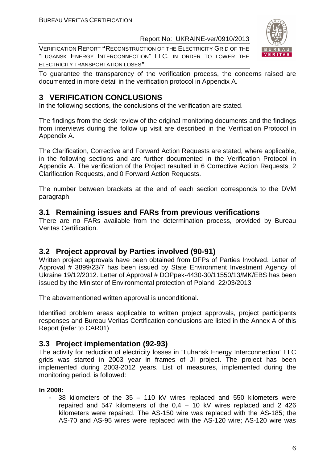VERIFICATION REPORT **"**RECONSTRUCTION OF THE ELECTRICITY GRID OF THE "LUGANSK ENERGY INTERCONNECTION" LLC. IN ORDER TO LOWER THE ELECTRICITY TRANSPORTATION LOSES**"**



To guarantee the transparency of the verification process, the concerns raised are documented in more detail in the verification protocol in Appendix A.

## **3 VERIFICATION CONCLUSIONS**

In the following sections, the conclusions of the verification are stated.

The findings from the desk review of the original monitoring documents and the findings from interviews during the follow up visit are described in the Verification Protocol in Appendix A.

The Clarification, Corrective and Forward Action Requests are stated, where applicable, in the following sections and are further documented in the Verification Protocol in Appendix A. The verification of the Project resulted in 6 Corrective Action Requests, 2 Clarification Requests, and 0 Forward Action Requests.

The number between brackets at the end of each section corresponds to the DVM paragraph.

## **3.1 Remaining issues and FARs from previous verifications**

There are no FARs available from the determination process, provided by Bureau Veritas Certification.

## **3.2 Project approval by Parties involved (90-91)**

Written project approvals have been obtained from DFPs of Parties Involved. Letter of Approval # 3899/23/7 has been issued by State Environment Investment Agency of Ukraine 19/12/2012. Letter of Approval # DOPpek-4430-30/11550/13/MK/EBS has been issued by the Minister of Environmental protection of Poland 22/03/2013

The abovementioned written approval is unconditional.

Identified problem areas applicable to written project approvals, project participants responses and Bureau Veritas Certification conclusions are listed in the Annex A of this Report (refer to CAR01)

## **3.3 Project implementation (92-93)**

The activity for reduction of electricity losses in "Luhansk Energy Interconnection" LLC grids was started in 2003 year in frames of JI project. The project has been implemented during 2003-2012 years. List of measures, implemented during the monitoring period, is followed:

#### **In 2008:**

38 kilometers of the  $35 - 110$  kV wires replaced and 550 kilometers were repaired and 547 kilometers of the 0,4 – 10 kV wires replaced and 2 426 kilometers were repaired. The AS-150 wire was replaced with the AS-185; the AS-70 and AS-95 wires were replaced with the AS-120 wire; AS-120 wire was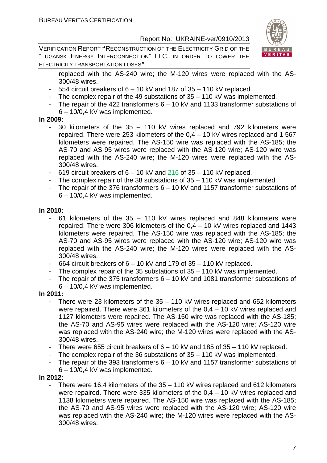VERIFICATION REPORT **"**RECONSTRUCTION OF THE ELECTRICITY GRID OF THE "LUGANSK ENERGY INTERCONNECTION" LLC. IN ORDER TO LOWER THE ELECTRICITY TRANSPORTATION LOSES**"**



replaced with the AS-240 wire; the M-120 wires were replaced with the AS-300/48 wires.

- $-554$  circuit breakers of  $6 10$  kV and 187 of  $35 110$  kV replaced.
- The complex repair of the 49 substations of 35 110 kV was implemented.
- The repair of the 422 transformers 6 10 kV and 1133 transformer substations of 6 – 10/0,4 kV was implemented.

#### **In 2009:**

- 30 kilometers of the 35 110 kV wires replaced and 792 kilometers were repaired. There were 253 kilometers of the 0,4 – 10 kV wires replaced and 1 567 kilometers were repaired. The AS-150 wire was replaced with the AS-185; the AS-70 and AS-95 wires were replaced with the AS-120 wire; AS-120 wire was replaced with the AS-240 wire; the M-120 wires were replaced with the AS-300/48 wires.
- 619 circuit breakers of  $6 10$  kV and  $216$  of  $35 110$  kV replaced.
- The complex repair of the 38 substations of 35 110 kV was implemented.
- The repair of the 376 transformers  $6 10$  kV and 1157 transformer substations of 6 – 10/0,4 kV was implemented.

#### **In 2010:**

- 61 kilometers of the 35 110 kV wires replaced and 848 kilometers were repaired. There were 306 kilometers of the 0,4 – 10 kV wires replaced and 1443 kilometers were repaired. The AS-150 wire was replaced with the AS-185; the AS-70 and AS-95 wires were replaced with the AS-120 wire; AS-120 wire was replaced with the AS-240 wire; the M-120 wires were replaced with the AS-300/48 wires.
- 664 circuit breakers of 6 10 kV and 179 of 35 110 kV replaced.
- The complex repair of the 35 substations of  $35 110$  kV was implemented.
- The repair of the 375 transformers 6 10 kV and 1081 transformer substations of 6 – 10/0,4 kV was implemented.

## **In 2011:**

- There were 23 kilometers of the  $35 110$  kV wires replaced and 652 kilometers were repaired. There were 361 kilometers of the 0,4 – 10 kV wires replaced and 1127 kilometers were repaired. The AS-150 wire was replaced with the AS-185; the AS-70 and AS-95 wires were replaced with the AS-120 wire; AS-120 wire was replaced with the AS-240 wire; the M-120 wires were replaced with the AS-300/48 wires.
- There were 655 circuit breakers of  $6 10$  kV and 185 of  $35 110$  kV replaced.
- The complex repair of the 36 substations of  $35 110$  kV was implemented.
- The repair of the 393 transformers 6 10 kV and 1157 transformer substations of
	- 6 10/0,4 kV was implemented.

#### **In 2012:**

There were 16,4 kilometers of the  $35 - 110$  kV wires replaced and 612 kilometers were repaired. There were 335 kilometers of the 0,4 – 10 kV wires replaced and 1138 kilometers were repaired. The AS-150 wire was replaced with the AS-185; the AS-70 and AS-95 wires were replaced with the AS-120 wire; AS-120 wire was replaced with the AS-240 wire; the M-120 wires were replaced with the AS-300/48 wires.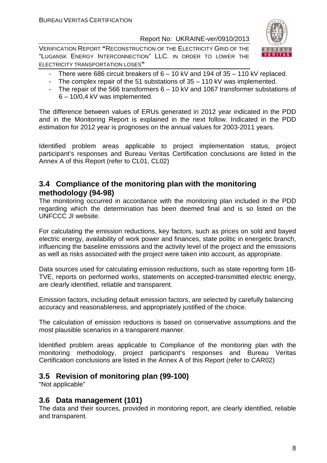VERIFICATION REPORT **"**RECONSTRUCTION OF THE ELECTRICITY GRID OF THE "LUGANSK ENERGY INTERCONNECTION" LLC. IN ORDER TO LOWER THE ELECTRICITY TRANSPORTATION LOSES**"**



- There were 686 circuit breakers of 6 10 kV and 194 of 35 110 kV replaced.
- The complex repair of the 51 substations of 35 110 kV was implemented.
- The repair of the 566 transformers 6 10 kV and 1067 transformer substations of 6 – 10/0,4 kV was implemented.

The difference between values of ERUs generated in 2012 year indicated in the PDD and in the Monitoring Report is explained in the next follow. Indicated in the PDD estimation for 2012 year is prognoses on the annual values for 2003-2011 years.

Identified problem areas applicable to project implementation status, project participant's responses and Bureau Veritas Certification conclusions are listed in the Annex A of this Report (refer to CL01, CL02)

## **3.4 Compliance of the monitoring plan with the monitoring methodology (94-98)**

The monitoring occurred in accordance with the monitoring plan included in the PDD regarding which the determination has been deemed final and is so listed on the UNFCCC JI website.

For calculating the emission reductions, key factors, such as prices on sold and bayed electric energy, availability of work power and finances, state politic in energetic branch, influencing the baseline emissions and the activity level of the project and the emissions as well as risks associated with the project were taken into account, as appropriate.

Data sources used for calculating emission reductions, such as state reporting form 1B-TVE, reports on performed works, statements on accepted-transmitted electric energy, are clearly identified, reliable and transparent.

Emission factors, including default emission factors, are selected by carefully balancing accuracy and reasonableness, and appropriately justified of the choice.

The calculation of emission reductions is based on conservative assumptions and the most plausible scenarios in a transparent manner.

Identified problem areas applicable to Compliance of the monitoring plan with the monitoring methodology, project participant's responses and Bureau Veritas Certification conclusions are listed in the Annex A of this Report (refer to CAR02)

## **3.5 Revision of monitoring plan (99-100)**

"Not applicable"

## **3.6 Data management (101)**

The data and their sources, provided in monitoring report, are clearly identified, reliable and transparent.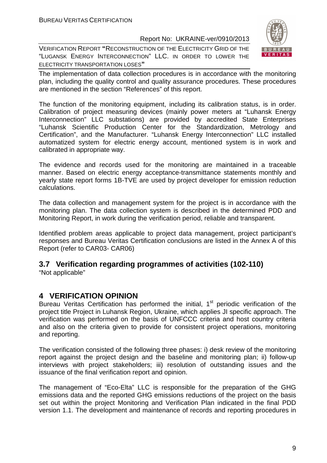VERIFICATION REPORT **"**RECONSTRUCTION OF THE ELECTRICITY GRID OF THE "LUGANSK ENERGY INTERCONNECTION" LLC. IN ORDER TO LOWER THE ELECTRICITY TRANSPORTATION LOSES**"**



The implementation of data collection procedures is in accordance with the monitoring plan, including the quality control and quality assurance procedures. These procedures are mentioned in the section "References" of this report.

The function of the monitoring equipment, including its calibration status, is in order. Calibration of project measuring devices (mainly power meters at "Luhansk Energy Interconnection" LLC substations) are provided by accredited State Enterprises "Luhansk Scientific Production Center for the Standardization, Metrology and Certification", and the Manufacturer. "Luhansk Energy Interconnection" LLC installed automatized system for electric energy account, mentioned system is in work and calibrated in appropriate way.

The evidence and records used for the monitoring are maintained in a traceable manner. Based on electric energy acceptance-transmittance statements monthly and yearly state report forms 1B-TVE are used by project developer for emission reduction calculations.

The data collection and management system for the project is in accordance with the monitoring plan. The data collection system is described in the determined PDD and Monitoring Report, in work during the verification period, reliable and transparent.

Identified problem areas applicable to project data management, project participant's responses and Bureau Veritas Certification conclusions are listed in the Annex A of this Report (refer to CAR03- CAR06)

## **3.7 Verification regarding programmes of activities (102-110)**

"Not applicable"

## **4 VERIFICATION OPINION**

Bureau Veritas Certification has performed the initial,  $1<sup>st</sup>$  periodic verification of the project title Project in Luhansk Region, Ukraine, which applies JI specific approach. The verification was performed on the basis of UNFCCC criteria and host country criteria and also on the criteria given to provide for consistent project operations, monitoring and reporting.

The verification consisted of the following three phases: i) desk review of the monitoring report against the project design and the baseline and monitoring plan; ii) follow-up interviews with project stakeholders; iii) resolution of outstanding issues and the issuance of the final verification report and opinion.

The management of "Eco-Elta" LLC is responsible for the preparation of the GHG emissions data and the reported GHG emissions reductions of the project on the basis set out within the project Monitoring and Verification Plan indicated in the final PDD version 1.1. The development and maintenance of records and reporting procedures in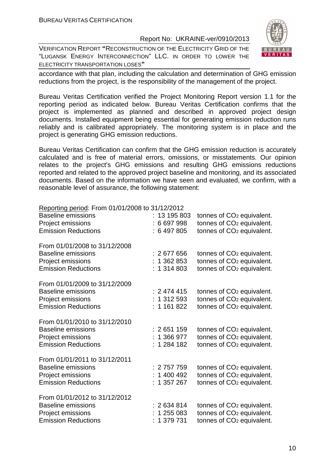VERIFICATION REPORT **"**RECONSTRUCTION OF THE ELECTRICITY GRID OF THE "LUGANSK ENERGY INTERCONNECTION" LLC. IN ORDER TO LOWER THE ELECTRICITY TRANSPORTATION LOSES**"**



accordance with that plan, including the calculation and determination of GHG emission reductions from the project, is the responsibility of the management of the project.

Bureau Veritas Certification verified the Project Monitoring Report version 1.1 for the reporting period as indicated below. Bureau Veritas Certification confirms that the project is implemented as planned and described in approved project design documents. Installed equipment being essential for generating emission reduction runs reliably and is calibrated appropriately. The monitoring system is in place and the project is generating GHG emission reductions.

Bureau Veritas Certification can confirm that the GHG emission reduction is accurately calculated and is free of material errors, omissions, or misstatements. Our opinion relates to the project's GHG emissions and resulting GHG emissions reductions reported and related to the approved project baseline and monitoring, and its associated documents. Based on the information we have seen and evaluated, we confirm, with a reasonable level of assurance, the following statement:

| Reporting period: From 01/01/2008 to 31/12/2012<br><b>Baseline emissions</b><br>Project emissions<br><b>Emission Reductions</b> | : 13 195 803<br>6 697 998<br>: 6497805 | tonnes of CO <sub>2</sub> equivalent.<br>tonnes of CO <sub>2</sub> equivalent.<br>tonnes of CO <sub>2</sub> equivalent. |
|---------------------------------------------------------------------------------------------------------------------------------|----------------------------------------|-------------------------------------------------------------------------------------------------------------------------|
| From 01/01/2008 to 31/12/2008<br><b>Baseline emissions</b><br>Project emissions<br><b>Emission Reductions</b>                   | : 2677656<br>: 1362853<br>: 1314803    | tonnes of CO <sub>2</sub> equivalent.<br>tonnes of CO <sub>2</sub> equivalent.<br>tonnes of CO <sub>2</sub> equivalent. |
| From 01/01/2009 to 31/12/2009<br><b>Baseline emissions</b><br>Project emissions<br><b>Emission Reductions</b>                   | : 2474415<br>1 312 593<br>1 161 822    | tonnes of CO <sub>2</sub> equivalent.<br>tonnes of CO <sub>2</sub> equivalent.<br>tonnes of CO <sub>2</sub> equivalent. |
| From 01/01/2010 to 31/12/2010<br><b>Baseline emissions</b><br>Project emissions<br><b>Emission Reductions</b>                   | : 2651159<br>: 1 366 977<br>1 284 182  | tonnes of CO <sub>2</sub> equivalent.<br>tonnes of CO <sub>2</sub> equivalent.<br>tonnes of CO <sub>2</sub> equivalent. |
| From 01/01/2011 to 31/12/2011<br><b>Baseline emissions</b><br>Project emissions<br><b>Emission Reductions</b>                   | : 2757759<br>1 400 492<br>: 1357267    | tonnes of CO <sub>2</sub> equivalent.<br>tonnes of CO <sub>2</sub> equivalent.<br>tonnes of CO <sub>2</sub> equivalent. |
| From 01/01/2012 to 31/12/2012<br><b>Baseline emissions</b><br>Project emissions<br><b>Emission Reductions</b>                   | : 2634814<br>1 255 083<br>1 379 731    | tonnes of CO <sub>2</sub> equivalent.<br>tonnes of CO <sub>2</sub> equivalent.<br>tonnes of CO <sub>2</sub> equivalent. |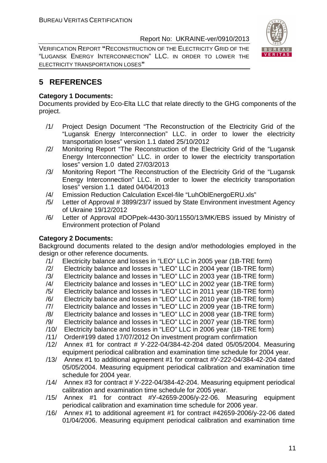VERIFICATION REPORT **"**RECONSTRUCTION OF THE ELECTRICITY GRID OF THE "LUGANSK ENERGY INTERCONNECTION" LLC. IN ORDER TO LOWER THE ELECTRICITY TRANSPORTATION LOSES**"**



## **5 REFERENCES**

#### **Category 1 Documents:**

Documents provided by Eco-Elta LLC that relate directly to the GHG components of the project.

- /1/ Project Design Document "The Reconstruction of the Electricity Grid of the "Lugansk Energy Interconnection" LLC. in order to lower the electricity transportation loses" version 1.1 dated 25/10/2012
- /2/ Monitoring Report "The Reconstruction of the Electricity Grid of the "Lugansk Energy Interconnection" LLC. in order to lower the electricity transportation loses" version 1.0 dated 27/03/2013
- /3/ Monitoring Report "The Reconstruction of the Electricity Grid of the "Lugansk Energy Interconnection" LLC. in order to lower the electricity transportation loses" version 1.1 dated 04/04/2013
- /4/ Emission Reduction Calculation Excel-file "LuhOblEnergoERU.xls"
- /5/ Letter of Approval # 3899/23/7 issued by State Environment investment Agency of Ukraine 19/12/2012
- /6/ Letter of Approval #DOPpek-4430-30/11550/13/MK/EBS issued by Ministry of Environment protection of Poland

## **Category 2 Documents:**

Background documents related to the design and/or methodologies employed in the design or other reference documents.

- /1/ Electricity balance and losses in "LEO" LLC in 2005 year (1B-TRE form)
- /2/ Electricity balance and losses in "LEO" LLC in 2004 year (1B-TRE form)
- /3/ Electricity balance and losses in "LEO" LLC in 2003 year (1B-TRE form)
- /4/ Electricity balance and losses in "LEO" LLC in 2002 year (1B-TRE form)
- /5/ Electricity balance and losses in "LEO" LLC in 2011 year (1B-TRE form)
- /6/ Electricity balance and losses in "LEO" LLC in 2010 year (1B-TRE form)
- /7/ Electricity balance and losses in "LEO" LLC in 2009 year (1B-TRE form)
- /8/ Electricity balance and losses in "LEO" LLC in 2008 year (1B-TRE form)
- /9/ Electricity balance and losses in "LEO" LLC in 2007 year (1B-TRE form)
- /10/ Electricity balance and losses in "LEO" LLC in 2006 year (1B-TRE form)
- /11/ Order#199 dated 17/07/2012 On investment program confirmation
- /12/ Annex #1 for contract # У-222-04/384-42-204 dated 05/05/2004. Measuring equipment periodical calibration and examination time schedule for 2004 year.
- /13/ Annex #1 to additional agreement #1 for contract #У-222-04/384-42-204 dated 05/05/2004. Measuring equipment periodical calibration and examination time schedule for 2004 year.
- /14/ Annex #3 for contract # У-222-04/384-42-204. Measuring equipment periodical calibration and examination time schedule for 2005 year.
- /15/ Annex #1 for contract #У-42659-2006/у-22-06. Measuring equipment periodical calibration and examination time schedule for 2006 year.
- /16/ Annex #1 to additional agreement #1 for contract #42659-2006/у-22-06 dated 01/04/2006. Measuring equipment periodical calibration and examination time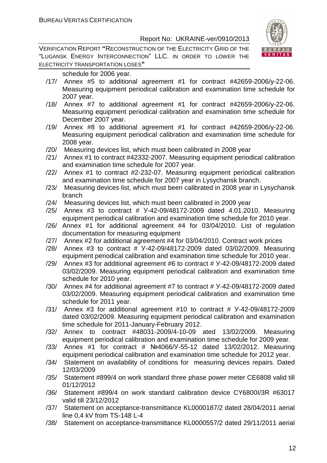VERIFICATION REPORT **"**RECONSTRUCTION OF THE ELECTRICITY GRID OF THE "LUGANSK ENERGY INTERCONNECTION" LLC. IN ORDER TO LOWER THE ELECTRICITY TRANSPORTATION LOSES**"**



schedule for 2006 year.

- /17/ Annex #5 to additional agreement #1 for contract #42659-2006/у-22-06. Measuring equipment periodical calibration and examination time schedule for 2007 year.
- /18/ Annex #7 to additional agreement #1 for contract #42659-2006/у-22-06. Measuring equipment periodical calibration and examination time schedule for December 2007 year.
- /19/ Annex #8 to additional agreement #1 for contract #42659-2006/у-22-06. Measuring equipment periodical calibration and examination time schedule for 2008 year.
- /20/ Measuring devices list, which must been calibrated in 2008 year
- /21/ Annex #1 to contract #42332-2007. Measuring equipment periodical calibration and examination time schedule for 2007 year.
- /22/ Annex #1 to contract #2-232-07. Measuring equipment periodical calibration and examination time schedule for 2007 year in Lysychansk branch.
- /23/ Measuring devices list, which must been calibrated in 2008 year in Lysychansk branch
- /24/ Measuring devices list, which must been calibrated in 2009 year
- /25/ Annex #3 to contract # У-42-09/48172-2009 dated 4.01.2010. Measuring equipment periodical calibration and examination time schedule for 2010 year.
- /26/ Annex #1 for additional agreement #4 for 03/04/2010. List of regulation documentation for measuring equipment
- /27/ Annex #2 for additional agreement #4 for 03/04/2010. Contract work prices
- /28/ Annex #3 to contract # У-42-09/48172-2009 dated 03/02/2009. Measuring equipment periodical calibration and examination time schedule for 2010 year.
- /29/ Annex #3 for additional agreement #6 to contract # У-42-09/48172-2009 dated 03/02/2009. Measuring equipment periodical calibration and examination time schedule for 2010 year.
- /30/ Annex #4 for additional agreement #7 to contract # У-42-09/48172-2009 dated 03/02/2009. Measuring equipment periodical calibration and examination time schedule for 2011 year.
- /31/ Annex #3 for additional agreement #10 to contract # У-42-09/48172-2009 dated 03/02/2009. Measuring equipment periodical calibration and examination time schedule for 2011-January-February 2012.
- /32/ Annex to contract #48031-2009/4-10-09 ated 13/02/2009. Measuring equipment periodical calibration and examination time schedule for 2009 year.
- /33/ Annex #1 for contract # №4066/У-55-12 dated 13/02/2012. Measuring equipment periodical calibration and examination time schedule for 2012 year.
- /34/ Statement on availability of conditions for measuring devices repairs. Dated 12/03/2009
- /35/ Statement #899/4 on work standard three phase power meter CE6808 valid till 01/12/2012
- /36/ Statement #899/4 on work standard calibration device CY6800I/3R #63017 valid till 23/12/2012
- /37/ Statement on acceptance-transmittance KL0000187/2 dated 28/04/2011 aerial line 0,4 kV from TS-148 L-4
- /38/ Statement on acceptance-transmittance KL0000557/2 dated 29/11/2011 aerial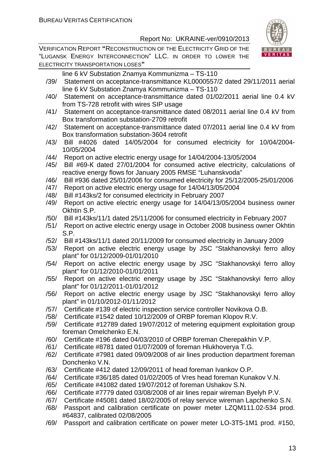

VERIFICATION REPORT **"**RECONSTRUCTION OF THE ELECTRICITY GRID OF THE "LUGANSK ENERGY INTERCONNECTION" LLC. IN ORDER TO LOWER THE ELECTRICITY TRANSPORTATION LOSES**"**

line 6 kV Substation Znamya Kommunizma – TS-110

- /39/ Statement on acceptance-transmittance KL0000557/2 dated 29/11/2011 aerial line 6 kV Substation Znamya Kommunizma – TS-110
- /40/ Statement on acceptance-transmittance dated 01/02/2011 aerial line 0.4 kV from TS-728 retrofit with wires SIP usage
- /41/ Statement on acceptance-transmittance dated 08/2011 aerial line 0.4 kV from Box transformation substation-2709 retrofit
- /42/ Statement on acceptance-transmittance dated 07/2011 aerial line 0.4 kV from Box transformation substation-3604 retrofit
- /43/ Bill #4026 dated 14/05/2004 for consumed electricity for 10/04/2004- 10/05/2004
- /44/ Report on active electric energy usage for 14/04/2004-13/05/2004
- /45/ Bill #69-К dated 27/01/2004 for consumed active electricity, calculations of reactive energy flows for January 2005 RMSE "Luhanskvoda"
- /46/ Bill #936 dated 25/01/2006 for consumed electricity for 25/12/2005-25/01/2006
- /47/ Report on active electric energy usage for 14/04/13/05/2004
- /48/ Bill #143ks/2 for consumed electricity in February 2007
- /49/ Report on active electric energy usage for 14/04/13/05/2004 business owner Okhtin S.P.
- /50/ Bill #143ks/11/1 dated 25/11/2006 for consumed electricity in February 2007
- /51/ Report on active electric energy usage in October 2008 business owner Okhtin S.P.
- /52/ Bill #143ks/11/1 dated 20/11/2009 for consumed electricity in January 2009
- /53/ Report on active electric energy usage by JSC "Stakhanovskyi ferro alloy plant" for 01/12/2009-01/01/2010
- /54/ Report on active electric energy usage by JSC "Stakhanovskyi ferro alloy plant" for 01/12/2010-01/01/2011
- /55/ Report on active electric energy usage by JSC "Stakhanovskyi ferro alloy plant" for 01/12/2011-01/01/2012
- /56/ Report on active electric energy usage by JSC "Stakhanovskyi ferro alloy plant" in 01/10/2012-01/11/2012
- /57/ Certificate #139 of electric inspection service controller Novikova O.B.
- /58/ Certificate #1542 dated 10/12/2009 of ORBP foreman Klopov R.V.
- /59/ Certificate #12789 dated 19/07/2012 of metering equipment exploitation group foreman Omelchenko E.N.
- /60/ Certificate #196 dated 04/03/2010 of ORBP foreman Cherepakhin V.P.
- /61/ Certificate #8781 dated 01/07/2009 of foreman Hlukhoverya T.G.
- /62/ Certificate #7981 dated 09/09/2008 of air lines production department foreman Donchenko V.N.
- /63/ Certificate #412 dated 12/09/2011 of head foreman Ivankov O.P.
- /64/ Certificate #36/185 dated 01/02/2005 of Vres head foreman Kunakov V.N.
- /65/ Certificate #41082 dated 19/07/2012 of foreman Ushakov S.N.
- /66/ Certificate #7779 dated 03/08/2008 of air lines repair wireman Byelyh P.V.
- /67/ Certificate #45081 dated 18/02/2005 of relay service wireman Lapchenko S.N.
- /68/ Passport and calibration certificate on power meter LZQM111.02-534 prod. #64837, calibrated 02/08/2005
- /69/ Passport and calibration certificate on power meter LO-3T5-1M1 prod. #150,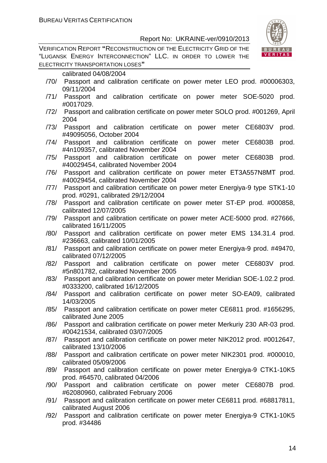VERIFICATION REPORT **"**RECONSTRUCTION OF THE ELECTRICITY GRID OF THE "LUGANSK ENERGY INTERCONNECTION" LLC. IN ORDER TO LOWER THE ELECTRICITY TRANSPORTATION LOSES**"**



- /70/ Passport and calibration certificate on power meter LEO prod. #00006303, 09/11/2004
- /71/ Passport and calibration certificate on power meter SOE-5020 prod. #0017029.
- /72/ Passport and calibration certificate on power meter SOLO prod. #001269, April 2004
- /73/ Passport and calibration certificate on power meter CE6803V prod. #49095056, October 2004
- /74/ Passport and calibration certificate on power meter CE6803B prod. #4n109357, calibrated November 2004
- /75/ Passport and calibration certificate on power meter CE6803B prod. #40029454, calibrated November 2004
- /76/ Passport and calibration certificate on power meter ЕТ3А557N8МТ prod. #40029454, calibrated November 2004
- /77/ Passport and calibration certificate on power meter Energiya-9 type STK1-10 prod. #0291, calibrated 29/12/2004
- /78/ Passport and calibration certificate on power meter ST-EP prod. #000858, calibrated 12/07/2005
- /79/ Passport and calibration certificate on power meter ACE-5000 prod. #27666, calibrated 16/11/2005
- /80/ Passport and calibration certificate on power meter EMS 134.31.4 prod. #236663, calibrated 10/01/2005
- /81/ Passport and calibration certificate on power meter Energiya-9 prod. #49470, calibrated 07/12/2005
- /82/ Passport and calibration certificate on power meter CE6803V prod. #5n801782, calibrated November 2005
- /83/ Passport and calibration certificate on power meter Meridian SOE-1.02.2 prod. #0333200, calibrated 16/12/2005
- /84/ Passport and calibration certificate on power meter SO-EA09, calibrated 14/03/2005
- /85/ Passport and calibration certificate on power meter CE6811 prod. #1656295, calibrated June 2005
- /86/ Passport and calibration certificate on power meter Merkuriy 230 AR-03 prod. #00421534, calibrated 03/07/2005
- /87/ Passport and calibration certificate on power meter NIK2012 prod. #0012647, calibrated 13/10/2006
- /88/ Passport and calibration certificate on power meter NIK2301 prod. #000010, calibrated 05/09/2006
- /89/ Passport and calibration certificate on power meter Energiya-9 CTK1-10K5 prod. #64570, calibrated 04/2006
- /90/ Passport and calibration certificate on power meter CE6807B prod. #62080960, calibrated February 2006
- /91/ Passport and calibration certificate on power meter CE6811 prod. #68817811, calibrated August 2006
- /92/ Passport and calibration certificate on power meter Energiya-9 CTK1-10K5 prod. #34486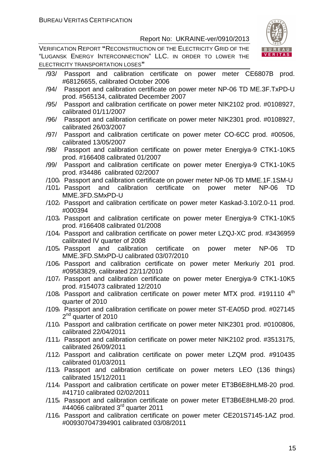VERIFICATION REPORT **"**RECONSTRUCTION OF THE ELECTRICITY GRID OF THE "LUGANSK ENERGY INTERCONNECTION" LLC. IN ORDER TO LOWER THE ELECTRICITY TRANSPORTATION LOSES**"**



- /93/ Passport and calibration certificate on power meter CE6807B prod. #68126655, calibrated October 2006
- /94/ Passport and calibration certificate on power meter NP-06 TD ME.3F.TxPD-U prod. #565134, calibrated December 2007
- /95/ Passport and calibration certificate on power meter NIK2102 prod. #0108927, calibrated 01/11/2007
- /96/ Passport and calibration certificate on power meter NIK2301 prod. #0108927, calibrated 26/03/2007
- /97/ Passport and calibration certificate on power meter СО-6СС prod. #00506, calibrated 13/05/2007
- /98/ Passport and calibration certificate on power meter Energiya-9 CTK1-10K5 prod. #166408 calibrated 01/2007
- /99/ Passport and calibration certificate on power meter Energiya-9 CTK1-10K5 prod. #34486 calibrated 02/2007
- /100/ Passport and calibration certificate on power meter NP-06 TD MME.1F.1SM-U
- /101/ Passport and calibration certificate on power meter NP-06 TD MME.3FD.SMxPD-U
- /102/ Passport and calibration certificate on power meter Kaskad-3.10/2.0-11 prod. #000394
- /103/ Passport and calibration certificate on power meter Energiya-9 CTK1-10K5 prod. #166408 calibrated 01/2008
- /104/ Passport and calibration certificate on power meter LZQJ-XC prod. #3436959 calibrated IV quarter of 2008
- /105/ Passport and calibration certificate on power meter NP-06 TD MME.3FD.SMxPD-U calibrated 03/07/2010
- /106/ Passport and calibration certificate on power meter Merkuriy 201 prod. #09583829, calibrated 22/11/2010
- /107/ Passport and calibration certificate on power meter Energiya-9 CTK1-10K5 prod. #154073 calibrated 12/2010
- /108/ Passport and calibration certificate on power meter MTX prod.  $\#191110.4<sup>th</sup>$ quarter of 2010
- /109/ Passport and calibration certificate on power meter ST-EA05D prod. #027145 2<sup>nd</sup> quarter of 2010
- /110/ Passport and calibration certificate on power meter NIK2301 prod. #0100806, calibrated 22/04/2011
- /111/ Passport and calibration certificate on power meter NIK2102 prod. #3513175, calibrated 26/09/2011
- /112/ Passport and calibration certificate on power meter LZQM prod. #910435 calibrated 01/03/2011
- /113/ Passport and calibration certificate on power meters LEO (136 things) calibrated 15/12/2011
- /114/ Passport and calibration certificate on power meter ЕТ3В6Е8HLM8-20 prod. #41710 calibrated 02/02/2011
- /115/ Passport and calibration certificate on power meter ЕТ3В6Е8HLM8-20 prod. #44066 calibrated 3<sup>rd</sup> quarter 2011
- /116/ Passport and calibration certificate on power meter СЕ201S7145-1AZ prod. #009307047394901 calibrated 03/08/2011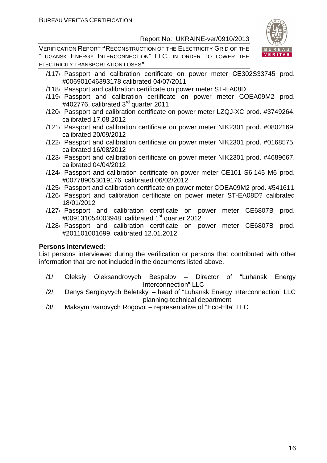VERIFICATION REPORT **"**RECONSTRUCTION OF THE ELECTRICITY GRID OF THE "LUGANSK ENERGY INTERCONNECTION" LLC. IN ORDER TO LOWER THE ELECTRICITY TRANSPORTATION LOSES**"**



- /117/ Passport and calibration certificate on power meter СЕ302S33745 prod. #006901046393178 calibrated 04/07/2011
- /118/ Passport and calibration certificate on power meter ST-EA08D
- /119/ Passport and calibration certificate on power meter СОЕA09M2 prod. #402776, calibrated 3<sup>rd</sup> quarter 2011
- /120/ Passport and calibration certificate on power meter LZQJ-XC prod. #3749264, calibrated 17.08.2012
- /121/ Passport and calibration certificate on power meter NIK2301 prod. #0802169, calibrated 20/09/2012
- /122/ Passport and calibration certificate on power meter NIK2301 prod. #0168575, calibrated 16/08/2012
- /123/ Passport and calibration certificate on power meter NIK2301 prod. #4689667, calibrated 04/04/2012
- /124/ Passport and calibration certificate on power meter CE101 S6 145 M6 prod. #007789053019176, calibrated 06/02/2012
- /125/ Passport and calibration certificate on power meter COEA09M2 prod. #541611
- /126/ Passport and calibration certificate on power meter ST-EA08D? calibrated 18/01/2012
- /127/ Passport and calibration certificate on power meter CE6807B prod. #009131054003948, calibrated 1<sup>st</sup> quarter 2012
- /128/ Passport and calibration certificate on power meter CE6807B prod. #201101001699, calibrated 12.01.2012

#### **Persons interviewed:**

List persons interviewed during the verification or persons that contributed with other information that are not included in the documents listed above.

- /1/ Oleksiy Oleksandrovych Bespalov Director of "Luhansk Energy Interconnection" LLC
- /2/ Denys Sergioyvych Beletskyi head of "Luhansk Energy Interconnection" LLC planning-technical department
- /3/ Maksym Ivanovych Rogovoi representative of "Eco-Elta" LLC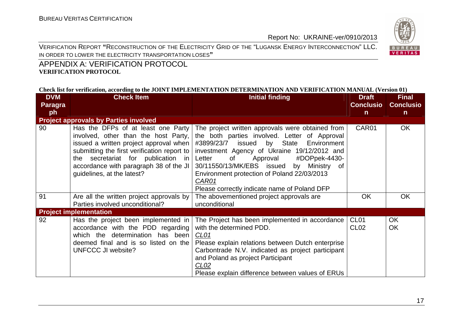VERIFICATION REPORT **"**RECONSTRUCTION OF THE ELECTRICITY GRID OF THE "LUGANSK ENERGY INTERCONNECTION" LLC. IN ORDER TO LOWER THE ELECTRICITY TRANSPORTATION LOSES**"**



## APPENDIX A: VERIFICATION PROTOCOL **VERIFICATION PROTOCOL**

#### **Check list for verification, according to the JOINT IMPLEMENTATION DETERMINATION AND VERIFICATION MANUAL (Version 01)**

| <b>DVM</b>     | <b>Check Item</b>                                                                                                                                                                                                                                                                 | <b>Initial finding</b>                                                                                                                                                                                                                                                                                                                                                                                                                                                                                                                                                                                                  | <b>Draft</b>                         | <b>Final</b>           |
|----------------|-----------------------------------------------------------------------------------------------------------------------------------------------------------------------------------------------------------------------------------------------------------------------------------|-------------------------------------------------------------------------------------------------------------------------------------------------------------------------------------------------------------------------------------------------------------------------------------------------------------------------------------------------------------------------------------------------------------------------------------------------------------------------------------------------------------------------------------------------------------------------------------------------------------------------|--------------------------------------|------------------------|
| <b>Paragra</b> |                                                                                                                                                                                                                                                                                   |                                                                                                                                                                                                                                                                                                                                                                                                                                                                                                                                                                                                                         | <b>Conclusio</b>                     | <b>Conclusio</b>       |
| ph             |                                                                                                                                                                                                                                                                                   |                                                                                                                                                                                                                                                                                                                                                                                                                                                                                                                                                                                                                         | $\mathsf{n}$                         | $\mathsf{n}$           |
|                | <b>Project approvals by Parties involved</b>                                                                                                                                                                                                                                      |                                                                                                                                                                                                                                                                                                                                                                                                                                                                                                                                                                                                                         |                                      |                        |
| 90             | Has the DFPs of at least one Party<br>involved, other than the host Party,<br>issued a written project approval when<br>submitting the first verification report to<br>the secretariat for publication in<br>accordance with paragraph 38 of the JI<br>guidelines, at the latest? | The project written approvals were obtained from<br>the both parties involved. Letter of Approval<br>#3899/23/7 issued by State Environment<br>investment Agency of Ukraine 19/12/2012 and<br>Approval<br>#DOPpek-4430-<br>Letter<br>of the control of the control of the control of the control of the control of the control of the control of the control of the control of the control of the control of the control of the control of the control of the contr<br>30/11550/13/MK/EBS issued by Ministry of<br>Environment protection of Poland 22/03/2013<br>CAR01<br>Please correctly indicate name of Poland DFP | CAR01                                | <b>OK</b>              |
| 91             | Are all the written project approvals by<br>Parties involved unconditional?                                                                                                                                                                                                       | The abovementioned project approvals are<br>unconditional                                                                                                                                                                                                                                                                                                                                                                                                                                                                                                                                                               | <b>OK</b>                            | <b>OK</b>              |
|                | <b>Project implementation</b>                                                                                                                                                                                                                                                     |                                                                                                                                                                                                                                                                                                                                                                                                                                                                                                                                                                                                                         |                                      |                        |
| 92             | Has the project been implemented in<br>accordance with the PDD regarding<br>which the determination has been<br>deemed final and is so listed on the<br>UNFCCC JI website?                                                                                                        | The Project has been implemented in accordance<br>with the determined PDD.<br>CL01<br>Please explain relations between Dutch enterprise<br>Carbontrade N.V. indicated as project participant<br>and Poland as project Participant<br>CL <sub>02</sub><br>Please explain difference between values of ERUs                                                                                                                                                                                                                                                                                                               | CL <sub>01</sub><br>CL <sub>02</sub> | <b>OK</b><br><b>OK</b> |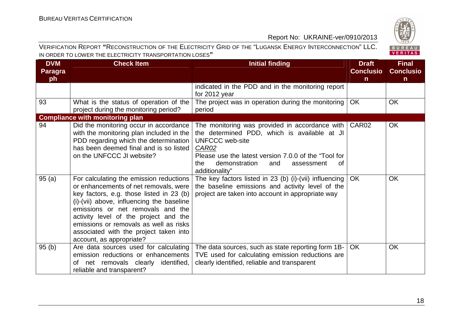

#### VERIFICATION REPORT **"**RECONSTRUCTION OF THE ELECTRICITY GRID OF THE "LUGANSK ENERGY INTERCONNECTION" LLC. IN ORDER TO LOWER THE ELECTRICITY TRANSPORTATION LOSES**"**

| <b>DVM</b>     | <b>Check Item</b>                                                                                                                                                                                                                                                                                                                                                       | <b>Initial finding</b>                                                                                                                                                                                                                                         | <b>Draft</b>      | <b>Final</b>     |
|----------------|-------------------------------------------------------------------------------------------------------------------------------------------------------------------------------------------------------------------------------------------------------------------------------------------------------------------------------------------------------------------------|----------------------------------------------------------------------------------------------------------------------------------------------------------------------------------------------------------------------------------------------------------------|-------------------|------------------|
| <b>Paragra</b> |                                                                                                                                                                                                                                                                                                                                                                         |                                                                                                                                                                                                                                                                | <b>Conclusio</b>  | <b>Conclusio</b> |
| ph             |                                                                                                                                                                                                                                                                                                                                                                         |                                                                                                                                                                                                                                                                | $\mathsf{n}$      | $\mathsf{n}$     |
|                |                                                                                                                                                                                                                                                                                                                                                                         | indicated in the PDD and in the monitoring report<br>for 2012 year                                                                                                                                                                                             |                   |                  |
| 93             | What is the status of operation of the<br>project during the monitoring period?                                                                                                                                                                                                                                                                                         | The project was in operation during the monitoring<br>period                                                                                                                                                                                                   | OK                | <b>OK</b>        |
|                | <b>Compliance with monitoring plan</b>                                                                                                                                                                                                                                                                                                                                  |                                                                                                                                                                                                                                                                |                   |                  |
| 94             | Did the monitoring occur in accordance<br>with the monitoring plan included in the<br>PDD regarding which the determination<br>has been deemed final and is so listed<br>on the UNFCCC JI website?                                                                                                                                                                      | The monitoring was provided in accordance with<br>the determined PDD, which is available at JI<br><b>UNFCCC</b> web-site<br>CAR02<br>Please use the latest version 7.0.0 of the "Tool for<br>the<br>demonstration<br>and<br>οf<br>assessment<br>additionality" | CAR <sub>02</sub> | OK               |
| 95(a)          | For calculating the emission reductions<br>or enhancements of net removals, were<br>key factors, e.g. those listed in 23 (b)<br>(i)-(vii) above, influencing the baseline<br>emissions or net removals and the<br>activity level of the project and the<br>emissions or removals as well as risks<br>associated with the project taken into<br>account, as appropriate? | The key factors listed in 23 (b) (i)-(vii) influencing  <br>the baseline emissions and activity level of the<br>project are taken into account in appropriate way                                                                                              | OK                | <b>OK</b>        |
| 95(b)          | Are data sources used for calculating<br>emission reductions or enhancements<br>of net removals clearly identified,<br>reliable and transparent?                                                                                                                                                                                                                        | The data sources, such as state reporting form 1B-<br>TVE used for calculating emission reductions are<br>clearly identified, reliable and transparent                                                                                                         | <b>OK</b>         | <b>OK</b>        |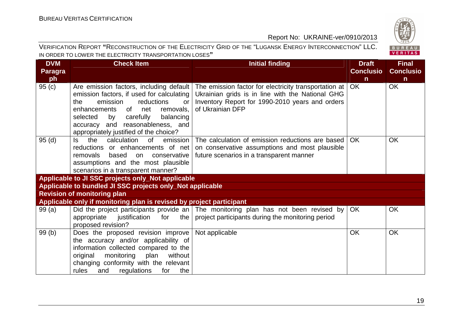

#### VERIFICATION REPORT **"**RECONSTRUCTION OF THE ELECTRICITY GRID OF THE "LUGANSK ENERGY INTERCONNECTION" LLC. IN ORDER TO LOWER THE ELECTRICITY TRANSPORTATION LOSES**"**

| <b>DVM</b>     | <b>Check Item</b>                                                                                                                                                                                                                                                                         | <b>Initial finding</b>                                                                                                                                                             | <b>Draft</b>     | <b>Final</b>     |
|----------------|-------------------------------------------------------------------------------------------------------------------------------------------------------------------------------------------------------------------------------------------------------------------------------------------|------------------------------------------------------------------------------------------------------------------------------------------------------------------------------------|------------------|------------------|
| <b>Paragra</b> |                                                                                                                                                                                                                                                                                           |                                                                                                                                                                                    | <b>Conclusio</b> | <b>Conclusio</b> |
| ph             |                                                                                                                                                                                                                                                                                           |                                                                                                                                                                                    | $\mathsf{n}$     | $\mathsf{n}$     |
| 95(c)          | Are emission factors, including default<br>emission factors, if used for calculating<br>emission<br>reductions<br>the<br>or<br>enhancements of net<br>removals,<br>carefully<br>balancing<br>selected<br>by<br>accuracy and reasonableness, and<br>appropriately justified of the choice? | The emission factor for electricity transportation at  <br>Ukrainian grids is in line with the National GHG<br>Inventory Report for 1990-2010 years and orders<br>of Ukrainian DFP | OK               | <b>OK</b>        |
| 95(d)          | ls.<br>the<br>calculation<br>emission<br>0f<br>reductions or enhancements of net<br>removals based<br>on<br>conservative<br>assumptions and the most plausible<br>scenarios in a transparent manner?                                                                                      | The calculation of emission reductions are based<br>on conservative assumptions and most plausible<br>future scenarios in a transparent manner                                     | OK.              | <b>OK</b>        |
|                | Applicable to JI SSC projects only_Not applicable                                                                                                                                                                                                                                         |                                                                                                                                                                                    |                  |                  |
|                | Applicable to bundled JI SSC projects only_Not applicable                                                                                                                                                                                                                                 |                                                                                                                                                                                    |                  |                  |
|                | <b>Revision of monitoring plan</b>                                                                                                                                                                                                                                                        |                                                                                                                                                                                    |                  |                  |
|                | Applicable only if monitoring plan is revised by project participant                                                                                                                                                                                                                      |                                                                                                                                                                                    |                  |                  |
| 99(a)          | the  <br>appropriate<br>justification for<br>proposed revision?                                                                                                                                                                                                                           | Did the project participants provide an The monitoring plan has not been revised by<br>project participants during the monitoring period                                           | OK               | <b>OK</b>        |
| 99(b)          | Does the proposed revision improve<br>the accuracy and/or applicability of<br>information collected compared to the<br>original<br>monitoring<br>plan<br>without<br>changing conformity with the relevant<br>regulations<br>rules<br>and<br>for<br>the                                    | Not applicable                                                                                                                                                                     | <b>OK</b>        | <b>OK</b>        |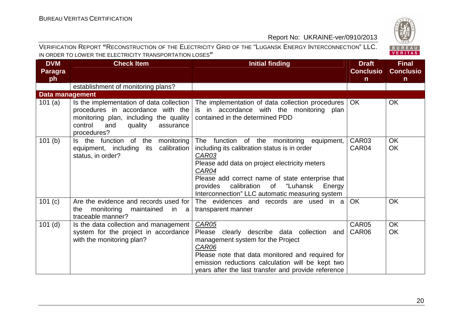

| VERIFICATION REPORT "RECONSTRUCTION OF THE ELECTRICITY GRID OF THE "LUGANSK ENERGY INTERCONNECTION" LLC. |
|----------------------------------------------------------------------------------------------------------|
| IN ORDER TO LOWER THE ELECTRICITY TRANSPORTATION LOSES"                                                  |

| <b>DVM</b>             | <b>Check Item</b>                                                                                                                                                                | <b>Initial finding</b>                                                                                                                                                                                                                                                                                                     | <b>Draft</b>     | <b>Final</b>     |
|------------------------|----------------------------------------------------------------------------------------------------------------------------------------------------------------------------------|----------------------------------------------------------------------------------------------------------------------------------------------------------------------------------------------------------------------------------------------------------------------------------------------------------------------------|------------------|------------------|
| <b>Paragra</b>         |                                                                                                                                                                                  |                                                                                                                                                                                                                                                                                                                            | <b>Conclusio</b> | <b>Conclusio</b> |
| ph                     |                                                                                                                                                                                  |                                                                                                                                                                                                                                                                                                                            | n                | $\mathsf{n}$     |
|                        | establishment of monitoring plans?                                                                                                                                               |                                                                                                                                                                                                                                                                                                                            |                  |                  |
| <b>Data management</b> |                                                                                                                                                                                  |                                                                                                                                                                                                                                                                                                                            |                  |                  |
| 101(a)                 | Is the implementation of data collection<br>procedures in accordance with the<br>monitoring plan, including the quality<br>control<br>and<br>quality<br>assurance<br>procedures? | The implementation of data collection procedures<br>is in accordance with the monitoring plan<br>contained in the determined PDD                                                                                                                                                                                           | <b>OK</b>        | OK               |
| 101(b)                 | Is the function<br>of the<br>monitoring<br>calibration<br>equipment, including<br>its<br>status, in order?                                                                       | The function of the monitoring equipment,<br>including its calibration status is in order<br>CAR03<br>Please add data on project electricity meters<br>CAR04<br>Please add correct name of state enterprise that<br>"Luhansk<br>calibration<br>of<br>provides<br>Energy<br>Interconnection" LLC automatic measuring system | CAR03<br>CAR04   | <b>OK</b><br>OK  |
| 101 (c)                | Are the evidence and records used for<br>monitoring<br>maintained<br>in<br>the<br>a<br>traceable manner?                                                                         | The evidences and records are used in a<br>transparent manner                                                                                                                                                                                                                                                              | <b>OK</b>        | <b>OK</b>        |
| $101$ (d)              | Is the data collection and management<br>system for the project in accordance<br>with the monitoring plan?                                                                       | <b>CAR05</b><br>Please clearly describe data collection and<br>management system for the Project<br>CAR06<br>Please note that data monitored and required for<br>emission reductions calculation will be kept two<br>years after the last transfer and provide reference                                                   | CAR05<br>CAR06   | <b>OK</b><br>OK  |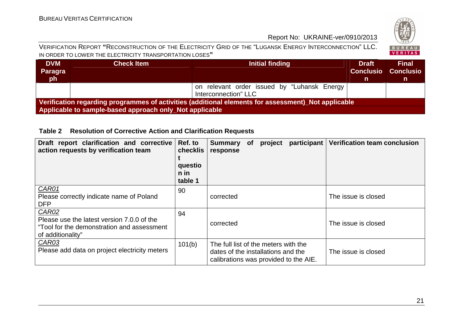

#### VERIFICATION REPORT **"**RECONSTRUCTION OF THE ELECTRICITY GRID OF THE "LUGANSK ENERGY INTERCONNECTION" LLC. IN ORDER TO LOWER THE ELECTRICITY TRANSPORTATION LOSES**"**

| <b>DVM</b><br>Paragra<br>ph                                                                         | <b>Check Item</b>                                       | Initial finding                             | <b>Draft</b><br><b>Conclusio</b><br>n | <b>Final</b><br>Conclusio<br>n |  |
|-----------------------------------------------------------------------------------------------------|---------------------------------------------------------|---------------------------------------------|---------------------------------------|--------------------------------|--|
|                                                                                                     |                                                         | on relevant order issued by "Luhansk Energy |                                       |                                |  |
|                                                                                                     |                                                         | Interconnection" LLC                        |                                       |                                |  |
| Verification regarding programmes of activities (additional elements for assessment) Not applicable |                                                         |                                             |                                       |                                |  |
|                                                                                                     | Applicable to sample-based approach only Not applicable |                                             |                                       |                                |  |

### **Table 2 Resolution of Corrective Action and Clarification Requests**

| Draft report clarification and corrective<br>action requests by verification team                                      | Ref. to<br>checklis<br>questio<br>$n$ in<br>table 1 | participant<br><b>Summary</b><br>project<br><b>of</b><br>response                                                   | <b>Verification team conclusion</b> |
|------------------------------------------------------------------------------------------------------------------------|-----------------------------------------------------|---------------------------------------------------------------------------------------------------------------------|-------------------------------------|
| CAR01<br>Please correctly indicate name of Poland<br><b>DFP</b>                                                        | 90                                                  | corrected                                                                                                           | The issue is closed                 |
| CAR02<br>Please use the latest version 7.0.0 of the<br>"Tool for the demonstration and assessment<br>of additionality" | 94                                                  | corrected                                                                                                           | The issue is closed                 |
| CAR03<br>Please add data on project electricity meters                                                                 | 101(b)                                              | The full list of the meters with the<br>dates of the installations and the<br>calibrations was provided to the AIE. | The issue is closed                 |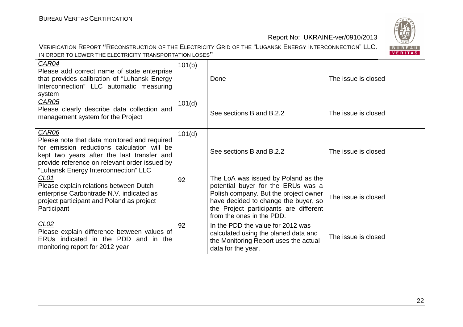BUREAU<br>VERITAS

## Report No: UKRAINE-ver/0910/2013

#### VERIFICATION REPORT **"**RECONSTRUCTION OF THE ELECTRICITY GRID OF THE "LUGANSK ENERGY INTERCONNECTION" LLC. IN ORDER TO LOWER THE ELECTRICITY TRANSPORTATION LOSES**"**

| CAR04<br>Please add correct name of state enterprise<br>that provides calibration of "Luhansk Energy<br>Interconnection" LLC automatic measuring<br>system                                                                                  | 101(b) | Done                                                                                                                                                                                                                              | The issue is closed |
|---------------------------------------------------------------------------------------------------------------------------------------------------------------------------------------------------------------------------------------------|--------|-----------------------------------------------------------------------------------------------------------------------------------------------------------------------------------------------------------------------------------|---------------------|
| CAR05<br>Please clearly describe data collection and<br>management system for the Project                                                                                                                                                   | 101(d) | See sections B and B.2.2                                                                                                                                                                                                          | The issue is closed |
| CAR06<br>Please note that data monitored and required<br>for emission reductions calculation will be<br>kept two years after the last transfer and<br>provide reference on relevant order issued by<br>"Luhansk Energy Interconnection" LLC | 101(d) | See sections B and B.2.2                                                                                                                                                                                                          | The issue is closed |
| <u>CL01</u><br>Please explain relations between Dutch<br>enterprise Carbontrade N.V. indicated as<br>project participant and Poland as project<br>Participant                                                                               | 92     | The LoA was issued by Poland as the<br>potential buyer for the ERUs was a<br>Polish company. But the project owner<br>have decided to change the buyer, so<br>the Project participants are different<br>from the ones in the PDD. | The issue is closed |
| CL <sub>02</sub><br>Please explain difference between values of<br>ERUs indicated in the PDD and in the<br>monitoring report for 2012 year                                                                                                  | 92     | In the PDD the value for 2012 was<br>calculated using the planed data and<br>the Monitoring Report uses the actual<br>data for the year.                                                                                          | The issue is closed |